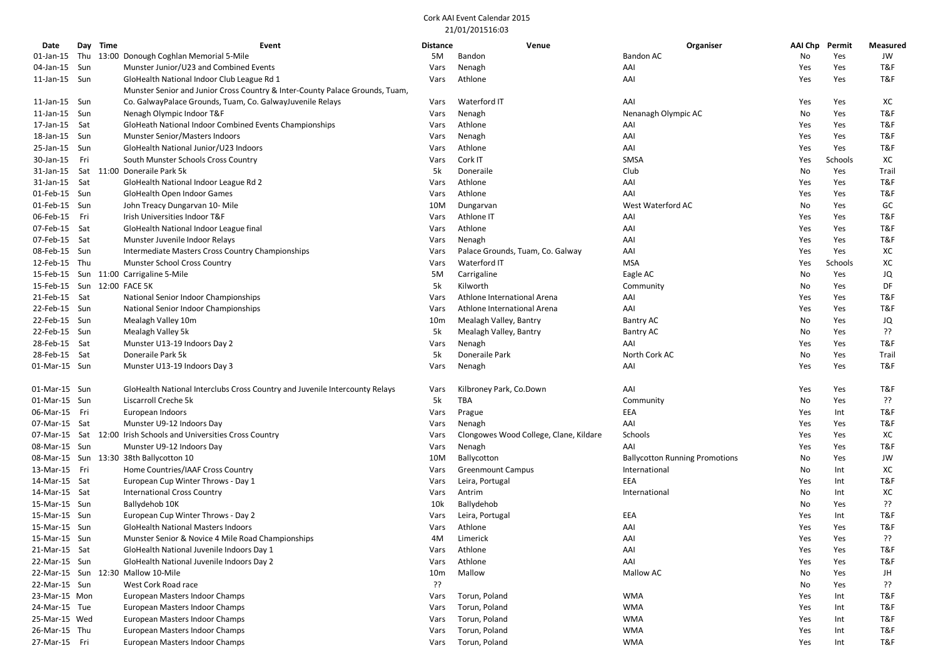| Date                        |       | Day Time | Event                                                                        | <b>Distance</b> | Venue                                  | Organiser                             | AAI Chp | Permit  | <b>Measured</b> |
|-----------------------------|-------|----------|------------------------------------------------------------------------------|-----------------|----------------------------------------|---------------------------------------|---------|---------|-----------------|
| $01$ -Jan-15                |       |          | Thu 13:00 Donough Coghlan Memorial 5-Mile                                    | 5M              | Bandon                                 | Bandon AC                             | No      | Yes     | JW              |
| 04-Jan-15                   | Sun   |          | Munster Junior/U23 and Combined Events                                       | Vars            | Nenagh                                 | AAI                                   | Yes     | Yes     | T&F             |
| 11-Jan-15 Sun               |       |          | GloHealth National Indoor Club League Rd 1                                   | Vars            | Athlone                                | AAI                                   | Yes     | Yes     | T&F             |
|                             |       |          | Munster Senior and Junior Cross Country & Inter-County Palace Grounds, Tuam, |                 |                                        |                                       |         |         |                 |
| 11-Jan-15 Sun               |       |          | Co. GalwayPalace Grounds, Tuam, Co. GalwayJuvenile Relays                    | Vars            | Waterford IT                           | AAI                                   | Yes     | Yes     | XC              |
| 11-Jan-15                   | Sun   |          | Nenagh Olympic Indoor T&F                                                    | Vars            | Nenagh                                 | Nenanagh Olympic AC                   | No      | Yes     | T&F             |
| 17-Jan-15                   | Sat   |          | GloHeath National Indoor Combined Events Championships                       | Vars            | Athlone                                | AAI                                   | Yes     | Yes     | T&F             |
| 18-Jan-15 Sun               |       |          | Munster Senior/Masters Indoors                                               | Vars            | Nenagh                                 | AAI                                   | Yes     | Yes     | T&F             |
| 25-Jan-15 Sun               |       |          | GloHealth National Junior/U23 Indoors                                        | Vars            | Athlone                                | AAI                                   | Yes     | Yes     | T&F             |
| 30-Jan-15                   | - Fri |          | South Munster Schools Cross Country                                          | Vars            | Cork IT                                | SMSA                                  | Yes     | Schools | хc              |
| 31-Jan-15                   |       |          | Sat 11:00 Doneraile Park 5k                                                  | 5k              | Doneraile                              | Club                                  | No      | Yes     | Trail           |
| 31-Jan-15 Sat               |       |          | GloHealth National Indoor League Rd 2                                        | Vars            | Athlone                                | AAI                                   | Yes     | Yes     | T&F             |
| 01-Feb-15 Sun               |       |          | GloHealth Open Indoor Games                                                  | Vars            | Athlone                                | AAI                                   | Yes     | Yes     | T&F             |
| 01-Feb-15 Sun               |       |          | John Treacy Dungarvan 10- Mile                                               | 10M             | Dungarvan                              | West Waterford AC                     | No      | Yes     | GC              |
| 06-Feb-15 Fri               |       |          | Irish Universities Indoor T&F                                                | Vars            | Athlone IT                             | AAI                                   | Yes     | Yes     | T&F             |
| 07-Feb-15 Sat               |       |          |                                                                              |                 | Athlone                                | AAI                                   | Yes     | Yes     | T&F             |
|                             |       |          | GloHealth National Indoor League final                                       | Vars            |                                        |                                       |         |         |                 |
| 07-Feb-15 Sat               |       |          | Munster Juvenile Indoor Relays                                               | Vars            | Nenagh                                 | AAI                                   | Yes     | Yes     | T&F             |
| 08-Feb-15 Sun               |       |          | Intermediate Masters Cross Country Championships                             | Vars            | Palace Grounds, Tuam, Co. Galway       | AAI                                   | Yes     | Yes     | ХC              |
| 12-Feb-15 Thu               |       |          | Munster School Cross Country                                                 | Vars            | Waterford IT                           | <b>MSA</b>                            | Yes     | Schools | XC              |
|                             |       |          | 15-Feb-15 Sun 11:00 Carrigaline 5-Mile                                       | 5M              | Carrigaline                            | Eagle AC                              | No      | Yes     | JQ              |
| 15-Feb-15 Sun 12:00 FACE 5K |       |          |                                                                              | 5k              | Kilworth                               | Community                             | No      | Yes     | DF              |
| 21-Feb-15 Sat               |       |          | National Senior Indoor Championships                                         | Vars            | Athlone International Arena            | AAI                                   | Yes     | Yes     | T&F             |
| 22-Feb-15 Sun               |       |          | National Senior Indoor Championships                                         | Vars            | Athlone International Arena            | AAI                                   | Yes     | Yes     | T&F             |
| 22-Feb-15 Sun               |       |          | Mealagh Valley 10m                                                           | 10 <sub>m</sub> | Mealagh Valley, Bantry                 | <b>Bantry AC</b>                      | No      | Yes     | JQ              |
| 22-Feb-15 Sun               |       |          | Mealagh Valley 5k                                                            | 5k              | Mealagh Valley, Bantry                 | <b>Bantry AC</b>                      | No      | Yes     | ??              |
| 28-Feb-15 Sat               |       |          | Munster U13-19 Indoors Day 2                                                 | Vars            | Nenagh                                 | AAI                                   | Yes     | Yes     | T&F             |
| 28-Feb-15 Sat               |       |          | Doneraile Park 5k                                                            | 5k              | Doneraile Park                         | North Cork AC                         | No      | Yes     | Trail           |
| 01-Mar-15 Sun               |       |          | Munster U13-19 Indoors Day 3                                                 | Vars            | Nenagh                                 | AAI                                   | Yes     | Yes     | T&F             |
| 01-Mar-15 Sun               |       |          | GloHealth National Interclubs Cross Country and Juvenile Intercounty Relays  | Vars            | Kilbroney Park, Co.Down                | AAI                                   | Yes     | Yes     | T&F             |
| 01-Mar-15 Sun               |       |          | Liscarroll Creche 5k                                                         | 5k              | TBA                                    | Community                             | No      | Yes     | ςç              |
| 06-Mar-15 Fri               |       |          | European Indoors                                                             | Vars            | Prague                                 | EEA                                   | Yes     | Int     | T&F             |
| 07-Mar-15 Sat               |       |          | Munster U9-12 Indoors Day                                                    | Vars            | Nenagh                                 | AAI                                   | Yes     | Yes     | T&F             |
|                             |       |          | 07-Mar-15 Sat 12:00 Irish Schools and Universities Cross Country             | Vars            | Clongowes Wood College, Clane, Kildare | Schools                               | Yes     | Yes     | ХC              |
| 08-Mar-15 Sun               |       |          | Munster U9-12 Indoors Day                                                    | Vars            | Nenagh                                 | AAI                                   | Yes     | Yes     | T&F             |
|                             |       |          | 08-Mar-15 Sun 13:30 38th Ballycotton 10                                      | 10M             | Ballycotton                            | <b>Ballycotton Running Promotions</b> | No      | Yes     | JW              |
| 13-Mar-15 Fri               |       |          | Home Countries/IAAF Cross Country                                            | Vars            | <b>Greenmount Campus</b>               | International                         | No      | Int     | XC              |
| 14-Mar-15 Sat               |       |          | European Cup Winter Throws - Day 1                                           | Vars            | Leira, Portugal                        | EEA                                   | Yes     | Int     | T&F             |
| 14-Mar-15 Sat               |       |          | <b>International Cross Country</b>                                           | Vars            | Antrim                                 | International                         | No      | Int     | XC              |
| 15-Mar-15 Sun               |       |          | Ballydehob 10K                                                               | 10k             | Ballydehob                             |                                       | No      | Yes     | ςç              |
| 15-Mar-15 Sun               |       |          | European Cup Winter Throws - Day 2                                           | Vars            | Leira, Portugal                        | EEA                                   | Yes     | Int     | T&F             |
| 15-Mar-15 Sun               |       |          | <b>GloHealth National Masters Indoors</b>                                    | Vars            | Athlone                                | AAI                                   | Yes     | Yes     | T&F             |
| 15-Mar-15 Sun               |       |          | Munster Senior & Novice 4 Mile Road Championships                            | 4M              | Limerick                               | AAI                                   | Yes     | Yes     | ??              |
| 21-Mar-15 Sat               |       |          | GloHealth National Juvenile Indoors Day 1                                    | Vars            | Athlone                                | AAI                                   | Yes     | Yes     | T&F             |
| 22-Mar-15 Sun               |       |          | GloHealth National Juvenile Indoors Day 2                                    | Vars            | Athlone                                | AAI                                   | Yes     | Yes     | T&F             |
|                             |       |          | 22-Mar-15 Sun 12:30 Mallow 10-Mile                                           | 10m             | Mallow                                 | Mallow AC                             | No      | Yes     | JH              |
| 22-Mar-15 Sun               |       |          | West Cork Road race                                                          | ??              |                                        |                                       | No      | Yes     | ??              |
| 23-Mar-15 Mon               |       |          | European Masters Indoor Champs                                               | Vars            | Torun, Poland                          | <b>WMA</b>                            | Yes     | Int     | T&F             |
| 24-Mar-15 Tue               |       |          | European Masters Indoor Champs                                               | Vars            | Torun, Poland                          | <b>WMA</b>                            | Yes     | Int     | T&F             |
| 25-Mar-15 Wed               |       |          | European Masters Indoor Champs                                               | Vars            | Torun, Poland                          | <b>WMA</b>                            | Yes     | Int     | T&F             |
| 26-Mar-15 Thu               |       |          | European Masters Indoor Champs                                               | Vars            | Torun, Poland                          | <b>WMA</b>                            | Yes     | Int     | T&F             |
| 27-Mar-15 Fri               |       |          | European Masters Indoor Champs                                               | Vars            | Torun, Poland                          | <b>WMA</b>                            | Yes     | Int     | T&F             |
|                             |       |          |                                                                              |                 |                                        |                                       |         |         |                 |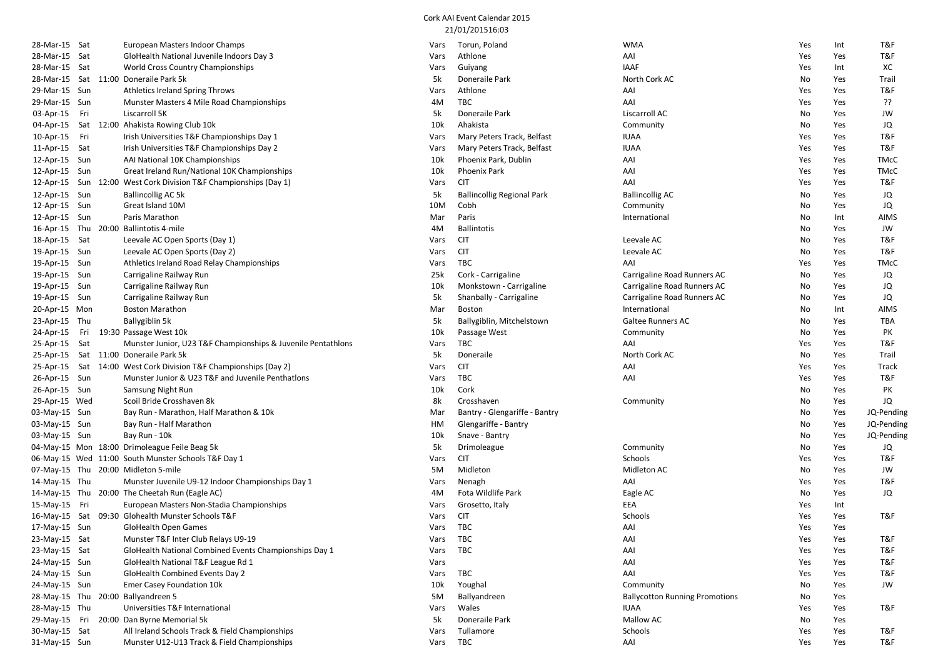| 28-Mar-15 Sat |     | European Masters Indoor Champs                                   | Vars     | Torun, Poland                     | <b>WMA</b>                            | Yes | Int | T&F         |
|---------------|-----|------------------------------------------------------------------|----------|-----------------------------------|---------------------------------------|-----|-----|-------------|
| 28-Mar-15 Sat |     | GloHealth National Juvenile Indoors Day 3                        | Vars     | Athlone                           | AAI                                   | Yes | Yes | T&F         |
| 28-Mar-15 Sat |     | <b>World Cross Country Championships</b>                         | Vars     | Guiyang                           | <b>IAAF</b>                           | Yes | Int | хc          |
|               |     | 28-Mar-15 Sat 11:00 Doneraile Park 5k                            | 5k       | Doneraile Park                    | North Cork AC                         | No  | Yes | Trail       |
| 29-Mar-15 Sun |     | Athletics Ireland Spring Throws                                  | Vars     | Athlone                           | AAI                                   | Yes | Yes | T&F         |
| 29-Mar-15 Sun |     | Munster Masters 4 Mile Road Championships                        | 4M       | TBC                               | AAI                                   | Yes | Yes | ??          |
| 03-Apr-15 Fri |     | Liscarroll 5K                                                    | 5k       | Doneraile Park                    | Liscarroll AC                         | No  | Yes | JW          |
| 04-Apr-15     |     | Sat 12:00 Ahakista Rowing Club 10k                               | 10k      | Ahakista                          | Community                             | No  | Yes | JQ          |
| 10-Apr-15     | Fri | Irish Universities T&F Championships Day 1                       | Vars     | Mary Peters Track, Belfast        | <b>IUAA</b>                           | Yes | Yes | T&F         |
| 11-Apr-15 Sat |     | Irish Universities T&F Championships Day 2                       | Vars     | Mary Peters Track, Belfast        | <b>IUAA</b>                           | Yes | Yes | T&F         |
| 12-Apr-15 Sun |     | AAI National 10K Championships                                   | 10k      | Phoenix Park, Dublin              | AAI                                   | Yes | Yes | <b>TMcC</b> |
| 12-Apr-15 Sun |     | Great Ireland Run/National 10K Championships                     | 10k      | Phoenix Park                      | AAI                                   | Yes | Yes | <b>TMcC</b> |
|               |     | 12-Apr-15 Sun 12:00 West Cork Division T&F Championships (Day 1) | Vars     | <b>CIT</b>                        | AAI                                   | Yes | Yes | T&F         |
| 12-Apr-15 Sun |     | <b>Ballincollig AC 5k</b>                                        | 5k       | <b>Ballincollig Regional Park</b> | <b>Ballincollig AC</b>                | No  | Yes | JQ          |
| 12-Apr-15 Sun |     | Great Island 10M                                                 | 10M      | Cobh                              | Community                             | No  | Yes | JQ          |
| 12-Apr-15 Sun |     | Paris Marathon                                                   | Mar      | Paris                             | International                         | No  | Int | AIMS        |
|               |     | 20:00 Ballintotis 4-mile                                         |          | <b>Ballintotis</b>                |                                       |     | Yes | JW          |
| 16-Apr-15 Thu |     |                                                                  | 4M       | <b>CIT</b>                        |                                       | No  |     | T&F         |
| 18-Apr-15 Sat |     | Leevale AC Open Sports (Day 1)                                   | Vars     |                                   | Leevale AC                            | No  | Yes |             |
| 19-Apr-15 Sun |     | Leevale AC Open Sports (Day 2)                                   | Vars     | <b>CIT</b>                        | Leevale AC                            | No  | Yes | T&F         |
| 19-Apr-15 Sun |     | Athletics Ireland Road Relay Championships                       | Vars     | TBC                               | AAI                                   | Yes | Yes | <b>TMcC</b> |
| 19-Apr-15 Sun |     | Carrigaline Railway Run                                          | 25k      | Cork - Carrigaline                | Carrigaline Road Runners AC           | No  | Yes | JQ          |
| 19-Apr-15 Sun |     | Carrigaline Railway Run                                          | 10k      | Monkstown - Carrigaline           | Carrigaline Road Runners AC           | No  | Yes | JQ          |
| 19-Apr-15 Sun |     | Carrigaline Railway Run                                          | 5k       | Shanbally - Carrigaline           | Carrigaline Road Runners AC           | No  | Yes | JQ          |
| 20-Apr-15 Mon |     | <b>Boston Marathon</b>                                           | Mar      | <b>Boston</b>                     | International                         | No  | Int | AIMS        |
| 23-Apr-15 Thu |     | Ballygiblin 5k                                                   | 5k       | Ballygiblin, Mitchelstown         | <b>Galtee Runners AC</b>              | No  | Yes | TBA         |
| 24-Apr-15     | Fri | 19:30 Passage West 10k                                           | 10k      | Passage West                      | Community                             | No  | Yes | PK          |
| 25-Apr-15 Sat |     | Munster Junior, U23 T&F Championships & Juvenile Pentathlons     | Vars     | TBC                               | AAI                                   | Yes | Yes | T&F         |
| 25-Apr-15     |     | Sat 11:00 Doneraile Park 5k                                      | 5k       | Doneraile                         | North Cork AC                         | No  | Yes | Trail       |
|               |     | 25-Apr-15 Sat 14:00 West Cork Division T&F Championships (Day 2) | Vars     | <b>CIT</b>                        | AAI                                   | Yes | Yes | Track       |
| 26-Apr-15 Sun |     | Munster Junior & U23 T&F and Juvenile Penthations                | Vars     | TBC                               | AAI                                   | Yes | Yes | T&F         |
| 26-Apr-15 Sun |     | Samsung Night Run                                                | 10k      | Cork                              |                                       | No  | Yes | PK          |
| 29-Apr-15 Wed |     | Scoil Bride Crosshaven 8k                                        | 8k       | Crosshaven                        | Community                             | No  | Yes | JQ          |
| 03-May-15 Sun |     | Bay Run - Marathon, Half Marathon & 10k                          | Mar      | Bantry - Glengariffe - Bantry     |                                       | No  | Yes | JQ-Pending  |
| 03-May-15 Sun |     | Bay Run - Half Marathon                                          | HM       | Glengariffe - Bantry              |                                       | No  | Yes | JQ-Pending  |
| 03-May-15 Sun |     | Bay Run - 10k                                                    | 10k      | Snave - Bantry                    |                                       | No  | Yes | JQ-Pending  |
|               |     | 04-May-15 Mon 18:00 Drimoleague Feile Beag 5k                    | 5k       | Drimoleague                       | Community                             | No  | Yes | JQ          |
|               |     | 06-May-15 Wed 11:00 South Munster Schools T&F Day 1              | Vars     | <b>CIT</b>                        | Schools                               | Yes | Yes | T&F         |
|               |     | 07-May-15 Thu 20:00 Midleton 5-mile                              | 5M       | Midleton                          | Midleton AC                           | No  | Yes | JW          |
| 14-May-15 Thu |     | Munster Juvenile U9-12 Indoor Championships Day 1                | Vars     | Nenagh                            | AAI                                   | Yes | Yes | T&F         |
|               |     | 14-May-15 Thu 20:00 The Cheetah Run (Eagle AC)                   | 4M       | Fota Wildlife Park                | Eagle AC                              | No  | Yes | JQ          |
| 15-May-15 Fri |     | European Masters Non-Stadia Championships                        | Vars     | Grosetto, Italy                   | EEA                                   | Yes | Int |             |
| 16-May-15 Sat |     | 09:30 Glohealth Munster Schools T&F                              | Vars     | <b>CIT</b>                        | Schools                               | Yes | Yes | T&F         |
| 17-May-15 Sun |     | GloHealth Open Games                                             | Vars     | TBC                               | AAI                                   | Yes | Yes |             |
| 23-May-15 Sat |     | Munster T&F Inter Club Relays U9-19                              | Vars     | твс                               | AAI                                   | Yes | Yes | T&F         |
| 23-May-15 Sat |     | GloHealth National Combined Events Championships Day 1           | Vars     | <b>TBC</b>                        | AAI                                   | Yes | Yes | T&F         |
| 24-May-15 Sun |     | GloHealth National T&F League Rd 1                               | Vars     |                                   | AAI                                   | Yes | Yes | T&F         |
| 24-May-15 Sun |     | GloHealth Combined Events Day 2                                  | Vars     | TBC                               | AAI                                   | Yes | Yes | T&F         |
| 24-May-15 Sun |     | Emer Casey Foundation 10k                                        | 10k      | Youghal                           | Community                             | No  | Yes | JW          |
| 28-May-15 Thu |     | 20:00 Ballyandreen 5                                             | 5M       | Ballyandreen                      | <b>Ballycotton Running Promotions</b> | No  | Yes |             |
| 28-May-15 Thu |     | Universities T&F International                                   | Vars     | Wales                             | <b>IUAA</b>                           | Yes | Yes | T&F         |
| 29-May-15 Fri |     | 20:00 Dan Byrne Memorial 5k                                      | 5k       | Doneraile Park                    | Mallow AC                             | No  | Yes |             |
| 30-May-15 Sat |     | All Ireland Schools Track & Field Championships                  | Vars     | Tullamore                         | Schools                               | Yes | Yes | T&F         |
| 31-May-15 Sun |     | Munster U12-U13 Track & Field Championships                      | Vars TBC |                                   | AAI                                   | Yes | Yes | T&F         |
|               |     |                                                                  |          |                                   |                                       |     |     |             |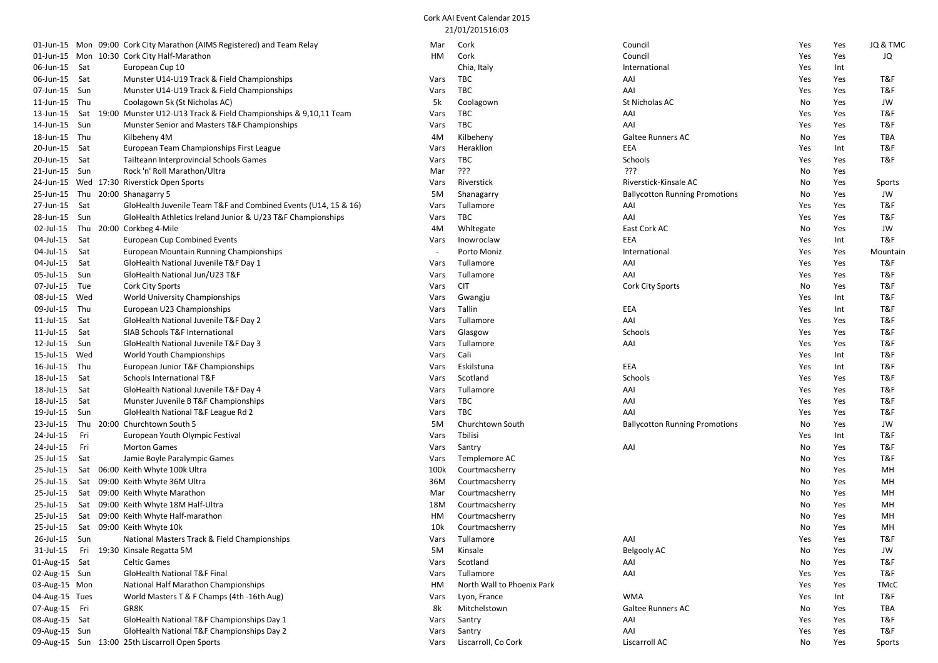|                 |     | 01-Jun-15 Mon 09:00 Cork City Marathon (AIMS Registered) and Team Relay | Mar                      | Cork                       | Council                               | Yes | Yes | JQ & TMC      |
|-----------------|-----|-------------------------------------------------------------------------|--------------------------|----------------------------|---------------------------------------|-----|-----|---------------|
|                 |     | 01-Jun-15 Mon 10:30 Cork City Half-Marathon                             | HМ                       | Cork                       | Council                               | Yes | Yes | JQ            |
| 06-Jun-15 Sat   |     | European Cup 10                                                         |                          | Chia, Italy                | International                         | Yes | Int |               |
| 06-Jun-15 Sat   |     | Munster U14-U19 Track & Field Championships                             | Vars                     | TBC                        | AAI                                   | Yes | Yes | T&F           |
| 07-Jun-15 Sun   |     | Munster U14-U19 Track & Field Championships                             | Vars                     | TBC                        | AAI                                   | Yes | Yes | T&F           |
| 11-Jun-15       | Thu | Coolagown 5k (St Nicholas AC)                                           | 5k                       | Coolagown                  | St Nicholas AC                        | No  | Yes | JW            |
| 13-Jun-15       |     | Sat 19:00 Munster U12-U13 Track & Field Championships & 9,10,11 Team    | Vars                     | TBC                        | AAI                                   | Yes | Yes | T&F           |
| 14-Jun-15 Sun   |     | Munster Senior and Masters T&F Championships                            | Vars                     | TBC                        | AAI                                   | Yes | Yes | T&F           |
| 18-Jun-15 Thu   |     | Kilbeheny 4M                                                            | 4M                       | Kilbeheny                  | <b>Galtee Runners AC</b>              | No  | Yes | <b>TBA</b>    |
| 20-Jun-15 Sat   |     | European Team Championships First League                                | Vars                     | Heraklion                  | EEA                                   | Yes | Int | T&F           |
| 20-Jun-15       | Sat | Tailteann Interprovincial Schools Games                                 | Vars                     | TBC                        | Schools                               | Yes | Yes | T&F           |
| 21-Jun-15 Sun   |     | Rock 'n' Roll Marathon/Ultra                                            | Mar                      | ?ך?                        | ַרְרְךָ                               | No  | Yes |               |
|                 |     | 24-Jun-15 Wed 17:30 Riverstick Open Sports                              | Vars                     | Riverstick                 | Riverstick-Kinsale AC                 | No  | Yes | <b>Sports</b> |
|                 |     | 25-Jun-15 Thu 20:00 Shanagarry 5                                        | 5M                       | Shanagarry                 | <b>Ballycotton Running Promotions</b> | No  | Yes | JW            |
| 27-Jun-15 Sat   |     | GloHealth Juvenile Team T&F and Combined Events (U14, 15 & 16)          | Vars                     | Tullamore                  | AAI                                   | Yes | Yes | T&F           |
| 28-Jun-15 Sun   |     | GloHealth Athletics Ireland Junior & U/23 T&F Championships             | Vars                     | TBC                        | AAI                                   | Yes | Yes | T&F           |
| 02-Jul-15       |     | Thu 20:00 Corkbeg 4-Mile                                                | 4M                       | Whitegate                  | East Cork AC                          | No  | Yes | JW            |
| 04-Jul-15       | Sat | <b>European Cup Combined Events</b>                                     | Vars                     | Inowroclaw                 | EEA                                   | Yes | Int | T&F           |
| 04-Jul-15       | Sat | European Mountain Running Championships                                 | $\overline{\phantom{a}}$ | Porto Moniz                | International                         | Yes | Yes | Mountain      |
| 04-Jul-15       | Sat | GloHealth National Juvenile T&F Day 1                                   | Vars                     | Tullamore                  | AAI                                   | Yes | Yes | T&F           |
| 05-Jul-15       | Sun | GloHealth National Jun/U23 T&F                                          | Vars                     | Tullamore                  | AAI                                   | Yes | Yes | T&F           |
| 07-Jul-15       | Tue | Cork City Sports                                                        | Vars                     | <b>CIT</b>                 | <b>Cork City Sports</b>               | No  | Yes | T&F           |
| 08-Jul-15       | Wed | World University Championships                                          | Vars                     | Gwangju                    |                                       | Yes | Int | T&F           |
| 09-Jul-15       | Thu | European U23 Championships                                              | Vars                     | Tallin                     | EEA                                   | Yes | Int | T&F           |
| 11-Jul-15       | Sat | GloHealth National Juvenile T&F Day 2                                   | Vars                     | Tullamore                  | AAI                                   | Yes | Yes | T&F           |
| $11$ -Jul- $15$ | Sat | SIAB Schools T&F International                                          | Vars                     | Glasgow                    | Schools                               | Yes | Yes | T&F           |
| 12-Jul-15       | Sun | GloHealth National Juvenile T&F Day 3                                   | Vars                     | Tullamore                  | AAI                                   | Yes | Yes | T&F           |
| 15-Jul-15       | Wed | World Youth Championships                                               | Vars                     | Cali                       |                                       | Yes | Int | T&F           |
| 16-Jul-15       | Thu | European Junior T&F Championships                                       | Vars                     | Eskilstuna                 | EEA                                   | Yes | Int | T&F           |
| 18-Jul-15       | Sat | Schools International T&F                                               | Vars                     | Scotland                   | Schools                               | Yes | Yes | T&F           |
| 18-Jul-15       | Sat | GloHealth National Juvenile T&F Day 4                                   | Vars                     | Tullamore                  | AAI                                   | Yes | Yes | T&F           |
| 18-Jul-15       | Sat | Munster Juvenile B T&F Championships                                    | Vars                     | TBC                        | AAI                                   | Yes | Yes | T&F           |
| 19-Jul-15       | Sun | GloHealth National T&F League Rd 2                                      | Vars                     | TBC                        | AAI                                   | Yes | Yes | T&F           |
| 23-Jul-15       | Thu | 20:00 Churchtown South 5                                                | 5M                       | Churchtown South           | <b>Ballycotton Running Promotions</b> | No  | Yes | JW            |
| 24-Jul-15       | Fri | European Youth Olympic Festival                                         | Vars                     | Tbilisi                    |                                       | Yes | Int | T&F           |
| 24-Jul-15       | Fri | <b>Morton Games</b>                                                     | Vars                     | Santry                     | AAI                                   | No  | Yes | T&F           |
| 25-Jul-15       | Sat | Jamie Boyle Paralympic Games                                            | Vars                     | Templemore AC              |                                       | No  | Yes | T&F           |
| 25-Jul-15       |     | Sat 06:00 Keith Whyte 100k Ultra                                        | 100k                     | Courtmacsherry             |                                       | No  | Yes | MH            |
| 25-Jul-15       |     | Sat 09:00 Keith Whyte 36M Ultra                                         | 36M                      | Courtmacsherry             |                                       | No  | Yes | MH            |
| 25-Jul-15       |     | Sat 09:00 Keith Whyte Marathon                                          | Mar                      | Courtmacsherry             |                                       | No  | Yes | MH            |
| 25-Jul-15       |     | Sat 09:00 Keith Whyte 18M Half-Ultra                                    | 18M                      | Courtmacsherry             |                                       | No  | Yes | MH            |
| 25-Jul-15       |     | Sat 09:00 Keith Whyte Half-marathon                                     | HМ                       | Courtmacsherry             |                                       | No  | Yes | MH            |
|                 |     | 25-Jul-15 Sat 09:00 Keith Whyte 10k                                     | 10k                      | Courtmacsherry             |                                       | No  | Yes | MH            |
| 26-Jul-15 Sun   |     | National Masters Track & Field Championships                            | Vars                     | Tullamore                  | AAI                                   | Yes | Yes | T&F           |
|                 |     | 31-Jul-15 Fri 19:30 Kinsale Regatta 5M                                  | 5M                       | Kinsale                    | Belgooly AC                           | No  | Yes | JW            |
| 01-Aug-15 Sat   |     | <b>Celtic Games</b>                                                     | Vars                     | Scotland                   | AAI                                   | No  | Yes | T&F           |
| 02-Aug-15 Sun   |     | GloHealth National T&F Final                                            | Vars                     | Tullamore                  | AAI                                   | Yes | Yes | T&F           |
| 03-Aug-15 Mon   |     | National Half Marathon Championships                                    | HM                       | North Wall to Phoenix Park |                                       | Yes | Yes | <b>TMcC</b>   |
| 04-Aug-15 Tues  |     | World Masters T & F Champs (4th -16th Aug)                              | Vars                     | Lyon, France               | <b>WMA</b>                            | Yes | Int | T&F           |
| 07-Aug-15 Fri   |     | GR8K                                                                    | 8k                       | Mitchelstown               | Galtee Runners AC                     | No  | Yes | TBA           |
| 08-Aug-15 Sat   |     | GloHealth National T&F Championships Day 1                              | Vars                     | Santry                     | AAI                                   | Yes | Yes | T&F           |
| 09-Aug-15 Sun   |     | GloHealth National T&F Championships Day 2                              | Vars                     |                            |                                       |     |     |               |
|                 |     |                                                                         |                          | Santry                     | AAI                                   | Yes | Yes | T&F           |